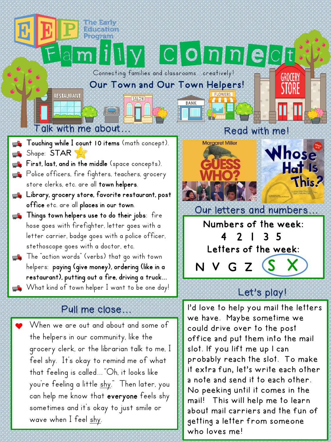### Connecting families and classrooms...creatively!

**BANK** 

#### Our Town and Our Town Helpers!

**SALON** 

# Talk with me about… Read with me!

**RESTAURANT** 

- **Touching while I count 10 items** (math concept). Shape: STAR  $\overline{\phantom{a}}$
- $\mathbf{F}$  First, last, and in the middle (space concepts).
- **P**olice officers, fire fighters, teachers, grocery store clerks, etc. are all town helpers.
- **wi** Library, grocery store, favorite restaurant, post office etc. are all places in our town.
- **Things town helpers use to do their jobs**: fire hose goes with firefighter, letter goes with a letter carrier, badge goes with a police officer, stethoscope goes with a doctor, etc.
- **The** "action words" (verbs) that go with town helpers: paying (give money), ordering (like in a restaurant), putting out a fire, driving a truck… What kind of town helper I want to be one day!

## Pull me close…

When we are out and about and some of the helpers in our community, like the grocery clerk, or the librarian talk to me, I feel shy. It's okay to remind me of what that feeling is called…"Oh, it looks like you're feeling a little shy." Then later, you can help me know that everyone feels shy sometimes and it's okay to just smile or wave when I feel <u>shy</u>.

GROCERY

Clomnect



3 5 Letters of the week:

 $N$  V G Z

# Let's play!

I'd love to help you mail the letters we have. Maybe sometime we could drive over to the post office and put them into the mail slot. If you lift me up I can probably reach the slot. To make it extra fun, let's write each other a note and send it to each other. No peeking until it comes in the mail! This will help me to learn about mail carriers and the fun of getting a letter from someone who loves me!